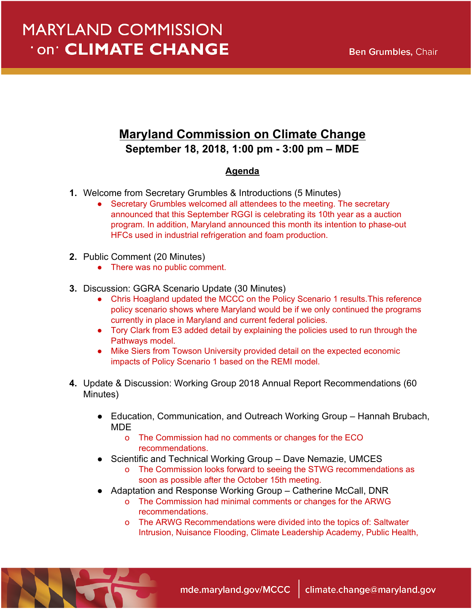## **Maryland Commission on Climate Change September 18, 2018, 1:00 pm - 3:00 pm – MDE**

## **Agenda**

- **1.** Welcome from Secretary Grumbles & Introductions (5 Minutes)
	- Secretary Grumbles welcomed all attendees to the meeting. The secretary announced that this September RGGI is celebrating its 10th year as a auction program. In addition, Maryland announced this month its intention to phase-out HFCs used in industrial refrigeration and foam production.
- **2.** Public Comment (20 Minutes)
	- There was no public comment.
- **3.** Discussion: GGRA Scenario Update (30 Minutes)
	- Chris Hoagland updated the MCCC on the Policy Scenario 1 results. This reference policy scenario shows where Maryland would be if we only continued the programs currently in place in Maryland and current federal policies.
	- Tory Clark from E3 added detail by explaining the policies used to run through the Pathways model.
	- Mike Siers from Towson University provided detail on the expected economic impacts of Policy Scenario 1 based on the REMI model.
- **4.** Update & Discussion: Working Group 2018 Annual Report Recommendations (60 Minutes)
	- Education, Communication, and Outreach Working Group Hannah Brubach, MDE
		- o The Commission had no comments or changes for the ECO recommendations.
	- Scientific and Technical Working Group Dave Nemazie, UMCES
		- o The Commission looks forward to seeing the STWG recommendations as soon as possible after the October 15th meeting.
	- Adaptation and Response Working Group Catherine McCall, DNR
		- o The Commission had minimal comments or changes for the ARWG recommendations.
		- o The ARWG Recommendations were divided into the topics of: Saltwater Intrusion, Nuisance Flooding, Climate Leadership Academy, Public Health,